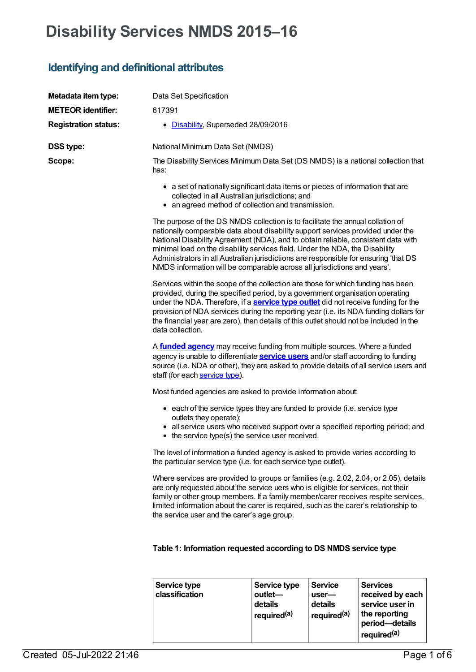# **Disability Services NMDS 2015–16**

# **Identifying and definitional attributes**

| Metadata item type:         | Data Set Specification                                                                                                                                                                                                                                                                                                                                                                                                                                                                                     |
|-----------------------------|------------------------------------------------------------------------------------------------------------------------------------------------------------------------------------------------------------------------------------------------------------------------------------------------------------------------------------------------------------------------------------------------------------------------------------------------------------------------------------------------------------|
| <b>METEOR identifier:</b>   | 617391                                                                                                                                                                                                                                                                                                                                                                                                                                                                                                     |
| <b>Registration status:</b> | • Disability, Superseded 28/09/2016                                                                                                                                                                                                                                                                                                                                                                                                                                                                        |
| <b>DSS type:</b>            | National Minimum Data Set (NMDS)                                                                                                                                                                                                                                                                                                                                                                                                                                                                           |
| Scope:                      | The Disability Services Minimum Data Set (DS NMDS) is a national collection that<br>has:                                                                                                                                                                                                                                                                                                                                                                                                                   |
|                             | • a set of nationally significant data items or pieces of information that are<br>collected in all Australian jurisdictions; and<br>• an agreed method of collection and transmission.                                                                                                                                                                                                                                                                                                                     |
|                             | The purpose of the DS NMDS collection is to facilitate the annual collation of<br>nationally comparable data about disability support services provided under the<br>National Disability Agreement (NDA), and to obtain reliable, consistent data with<br>minimal load on the disability services field. Under the NDA, the Disability<br>Administrators in all Australian jurisdictions are responsible for ensuring 'that DS<br>NMDS information will be comparable across all jurisdictions and years'. |
|                             | Services within the scope of the collection are those for which funding has been<br>provided, during the specified period, by a government organisation operating<br>under the NDA. Therefore, if a <b>service type outlet</b> did not receive funding for the<br>provision of NDA services during the reporting year (i.e. its NDA funding dollars for<br>the financial year are zero), then details of this outlet should not be included in the<br>data collection.                                     |
|                             | A <b>funded agency</b> may receive funding from multiple sources. Where a funded<br>agency is unable to differentiate <b>service users</b> and/or staff according to funding<br>source (i.e. NDA or other), they are asked to provide details of all service users and<br>staff (for each service type).                                                                                                                                                                                                   |
|                             | Most funded agencies are asked to provide information about:                                                                                                                                                                                                                                                                                                                                                                                                                                               |
|                             | • each of the service types they are funded to provide (i.e. service type<br>outlets they operate);<br>• all service users who received support over a specified reporting period; and<br>• the service type(s) the service user received.                                                                                                                                                                                                                                                                 |
|                             | The level of information a funded agency is asked to provide varies according to<br>the particular service type (i.e. for each service type outlet).                                                                                                                                                                                                                                                                                                                                                       |
|                             | Where services are provided to groups or families (e.g. 2.02, 2.04, or 2.05), details<br>are only requested about the service uers who is eligible for services, not their<br>family or other group members. If a family member/carer receives respite services,<br>limited information about the carer is required, such as the carer's relationship to<br>the service user and the carer's age group.                                                                                                    |

# **Table 1: Information requested according to DS NMDS service type**

| Service type<br>classification | Service type<br>outlet-<br>details<br>∣ required <sup>(a)</sup> | <b>Service</b><br>$user$ —<br>details<br><sup>1</sup> required <sup>(a)</sup> | <b>Services</b><br>received by each<br>service user in<br>the reporting<br>period-details<br><sup>i</sup> required <sup>(a)</sup> |
|--------------------------------|-----------------------------------------------------------------|-------------------------------------------------------------------------------|-----------------------------------------------------------------------------------------------------------------------------------|
|--------------------------------|-----------------------------------------------------------------|-------------------------------------------------------------------------------|-----------------------------------------------------------------------------------------------------------------------------------|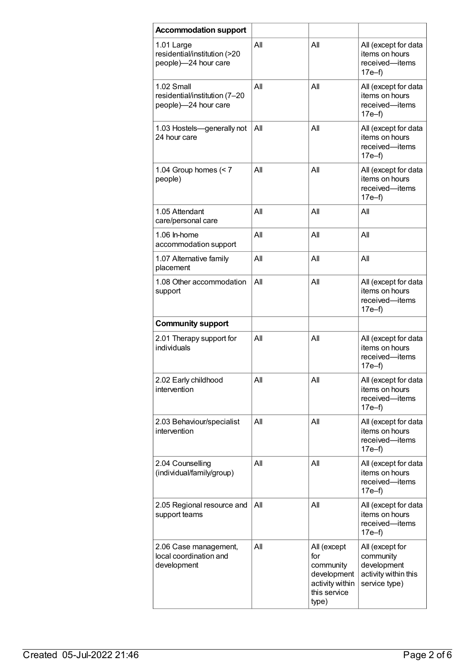| <b>Accommodation support</b>                                        |     |                                                                                            |                                                                                      |
|---------------------------------------------------------------------|-----|--------------------------------------------------------------------------------------------|--------------------------------------------------------------------------------------|
| 1.01 Large<br>residential/institution (>20<br>people)-24 hour care  | All | All                                                                                        | All (except for data<br>items on hours<br>received-items<br>$17e-f$                  |
| 1.02 Small<br>residential/institution (7-20<br>people)-24 hour care | All | AII                                                                                        | All (except for data<br>items on hours<br>received-items<br>$17e-f$                  |
| 1.03 Hostels-generally not<br>24 hour care                          | All | All                                                                                        | All (except for data<br>items on hours<br>received-items<br>$17e-f$                  |
| 1.04 Group homes $(< 7$<br>people)                                  | All | All                                                                                        | All (except for data<br>items on hours<br>received-items<br>$17e-f$                  |
| 1.05 Attendant<br>care/personal care                                | All | AII                                                                                        | All                                                                                  |
| 1.06 In-home<br>accommodation support                               | All | AII                                                                                        | All                                                                                  |
| 1.07 Alternative family<br>placement                                | All | All                                                                                        | All                                                                                  |
| 1.08 Other accommodation<br>support                                 | All | All                                                                                        | All (except for data<br>items on hours<br>received-items<br>$17e-f$                  |
| <b>Community support</b>                                            |     |                                                                                            |                                                                                      |
| 2.01 Therapy support for<br>individuals                             | All | All                                                                                        | All (except for data<br>items on hours<br>received-items<br>$17e-f$                  |
| 2.02 Early childhood<br>intervention                                | All | All                                                                                        | All (except for data<br>items on hours<br>received-items<br>$17e-f$                  |
| 2.03 Behaviour/specialist<br>intervention                           | All | All                                                                                        | All (except for data<br>items on hours<br>received-items<br>$17e-f$                  |
| 2.04 Counselling<br>(individual/family/group)                       | All | All                                                                                        | All (except for data<br>items on hours<br>received-items<br>$17e-f$                  |
| 2.05 Regional resource and<br>support teams                         | All | All                                                                                        | All (except for data<br>items on hours<br>received-items<br>$17e-f$                  |
| 2.06 Case management,<br>local coordination and<br>development      | All | All (except<br>for<br>community<br>development<br>activity within<br>this service<br>type) | All (except for<br>community<br>development<br>activity within this<br>service type) |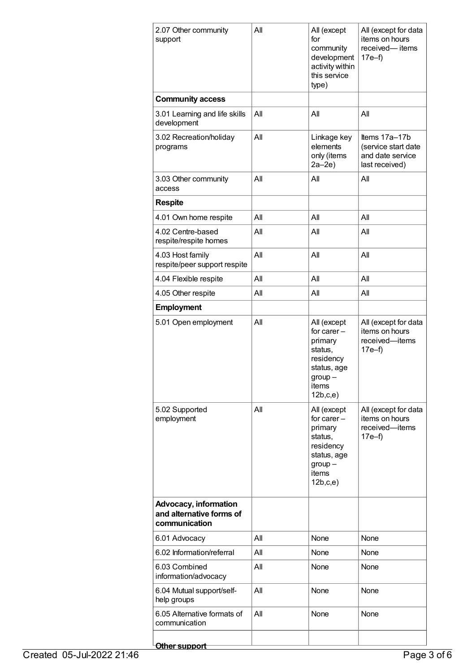| 2.07 Other community<br>support                                           | All | All (except<br>for<br>community<br>development<br>activity within<br>this service<br>type)                       | All (except for data<br>items on hours<br>received-items<br>17e–f)         |  |
|---------------------------------------------------------------------------|-----|------------------------------------------------------------------------------------------------------------------|----------------------------------------------------------------------------|--|
| <b>Community access</b>                                                   |     |                                                                                                                  |                                                                            |  |
| 3.01 Learning and life skills<br>development                              | All | All                                                                                                              | All                                                                        |  |
| 3.02 Recreation/holiday<br>programs                                       | All | Linkage key<br>elements<br>only (items<br>$2a-2e$                                                                | Items 17a-17b<br>(service start date<br>and date service<br>last received) |  |
| 3.03 Other community<br>access                                            | All | All                                                                                                              | All                                                                        |  |
| <b>Respite</b>                                                            |     |                                                                                                                  |                                                                            |  |
| 4.01 Own home respite                                                     | All | All                                                                                                              | All                                                                        |  |
| 4.02 Centre-based<br>respite/respite homes                                | All | All                                                                                                              | All                                                                        |  |
| 4.03 Host family<br>respite/peer support respite                          | All | All                                                                                                              | All                                                                        |  |
| 4.04 Flexible respite                                                     | All | All                                                                                                              | All                                                                        |  |
| 4.05 Other respite                                                        | All | All                                                                                                              | All                                                                        |  |
| <b>Employment</b>                                                         |     |                                                                                                                  |                                                                            |  |
| 5.01 Open employment                                                      | All | All (except<br>for carer $-$<br>primary<br>status,<br>residency<br>status, age<br>$group -$<br>items<br>12b,c,e) | All (except for data<br>items on hours<br>received-items<br>$17e-f$        |  |
| 5.02 Supported<br>employment                                              | All | All (except<br>for carer $-$<br>primary<br>status,<br>residency<br>status, age<br>$group -$<br>items<br>12b,c,e) | All (except for data<br>items on hours<br>received-items<br>$17e-f$        |  |
| <b>Advocacy, information</b><br>and alternative forms of<br>communication |     |                                                                                                                  |                                                                            |  |
| 6.01 Advocacy                                                             | All | None                                                                                                             | None                                                                       |  |
| 6.02 Information/referral                                                 | All | None                                                                                                             | None                                                                       |  |
| 6.03 Combined<br>information/advocacy                                     | All | None                                                                                                             | None                                                                       |  |
| 6.04 Mutual support/self-<br>help groups                                  | All | None                                                                                                             | None                                                                       |  |
| 6.05 Alternative formats of<br>communication                              | All | None                                                                                                             | None                                                                       |  |
| Other support                                                             |     |                                                                                                                  |                                                                            |  |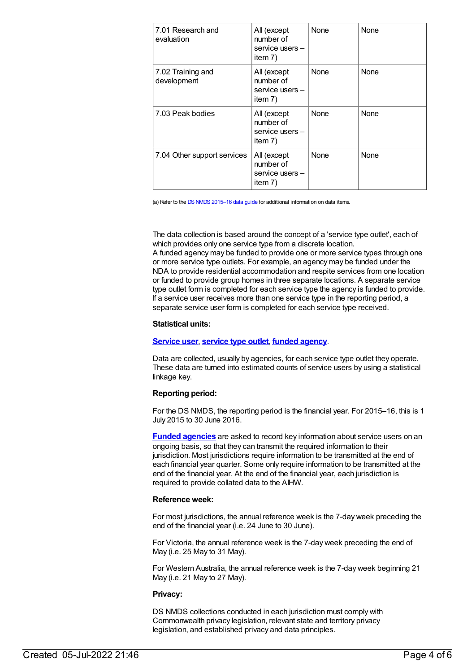| 7.01 Research and<br>evaluation  | All (except<br>number of<br>service users -<br>item 7)   | None | None |
|----------------------------------|----------------------------------------------------------|------|------|
| 7.02 Training and<br>development | All (except<br>number of<br>service users -<br>item 7)   | None | None |
| 7.03 Peak bodies                 | All (except<br>number of<br>service users -<br>item 7)   | None | None |
| 7.04 Other support services      | All (except<br>number of<br>service users $-$<br>item 7) | None | None |

(a) Refer to the DS NMDS [2015–16](http://www.aihw.gov.au/WorkArea/DownloadAsset.aspx?id=60129548022) data guide for additional information on data items.

The data collection is based around the concept of a 'service type outlet', each of which provides only one service type from a discrete location. A funded agency may be funded to provide one or more service types through one or more service type outlets. For example, an agency may be funded under the NDA to provide residential accommodation and respite services from one location or funded to provide group homes in three separate locations. A separate service type outlet form is completed for each service type the agency is funded to provide. If a service user receives more than one service type in the reporting period, a separate service user form is completed for each service type received.

#### **Statistical units:**

#### **[Service](https://meteor.aihw.gov.au/content/502689) user**, **[service](https://meteor.aihw.gov.au/content/501973) type outlet**, **funded [agency](https://meteor.aihw.gov.au/content/386548)**.

Data are collected, usually by agencies, for each service type outlet they operate. These data are turned into estimated counts of service users by using a statistical linkage key.

#### **Reporting period:**

For the DS NMDS, the reporting period is the financial year. For 2015–16, this is 1 July 2015 to 30 June 2016.

**Funded [agencies](https://meteor.aihw.gov.au/content/386548)** are asked to record key information about service users on an ongoing basis, so that they can transmit the required information to their jurisdiction. Most jurisdictions require information to be transmitted at the end of each financial year quarter. Some only require information to be transmitted at the end of the financial year. At the end of the financial year, each jurisdiction is required to provide collated data to the AIHW.

#### **Reference week:**

For most jurisdictions, the annual reference week is the 7-day week preceding the end of the financial year (i.e. 24 June to 30 June).

For Victoria, the annual reference week is the 7-day week preceding the end of May (i.e. 25 May to 31 May).

For Western Australia, the annual reference week is the 7-day week beginning 21 May (i.e. 21 May to 27 May).

#### **Privacy:**

DS NMDS collections conducted in each jurisdiction must comply with Commonwealth privacy legislation, relevant state and territory privacy legislation, and established privacy and data principles.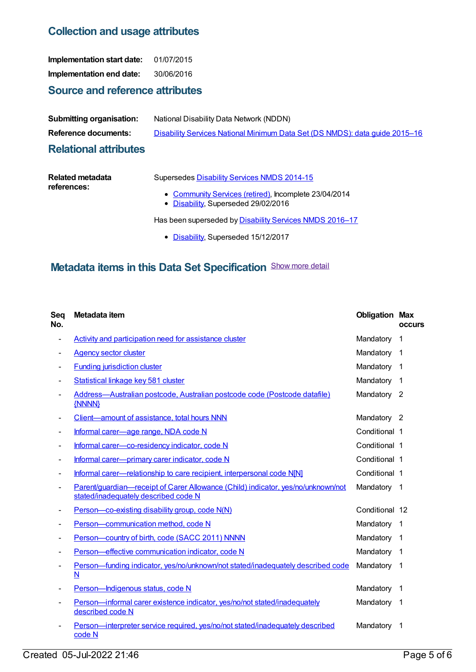# **Collection and usage attributes**

**Implementation start date:** 01/07/2015 **Implementation end date:** 30/06/2016

# **Source and reference attributes**

| <b>Submitting organisation:</b> | National Disability Data Network (NDDN)                                     |
|---------------------------------|-----------------------------------------------------------------------------|
| Reference documents:            | Disability Services National Minimum Data Set (DS NMDS): data quide 2015–16 |
| <b>Deletional etteilenten</b>   |                                                                             |

### **Relational attributes**

| Related metadata | Supersedes Disability Services NMDS 2014-15           |
|------------------|-------------------------------------------------------|
| references:      |                                                       |
|                  | • Community Services (retired), Incomplete 23/04/2014 |

• [Disability](https://meteor.aihw.gov.au/RegistrationAuthority/16), Superseded 29/02/2016

Has been superseded by **[Disability](https://meteor.aihw.gov.au/content/637867) Services NMDS 2016-17** 

• [Disability](https://meteor.aihw.gov.au/RegistrationAuthority/16), Superseded 15/12/2017

# **Metadata items in this Data Set Specification** Show more detail

| Seq<br>No.               | Metadata item                                                                                                            | <b>Obligation Max</b> | <b>occurs</b>           |
|--------------------------|--------------------------------------------------------------------------------------------------------------------------|-----------------------|-------------------------|
| $\overline{\phantom{a}}$ | <b>Activity and participation need for assistance cluster</b>                                                            | Mandatory             | 1                       |
|                          | <b>Agency sector cluster</b>                                                                                             | Mandatory             | $\mathbf 1$             |
|                          | <b>Funding jurisdiction cluster</b>                                                                                      | Mandatory             | $\overline{\mathbf{1}}$ |
|                          | Statistical linkage key 581 cluster                                                                                      | Mandatory             | $\overline{\mathbf{1}}$ |
|                          | Address-Australian postcode, Australian postcode code (Postcode datafile)<br>{NNNN}                                      | Mandatory 2           |                         |
|                          | Client—amount of assistance, total hours NNN                                                                             | Mandatory 2           |                         |
|                          | Informal carer-age range, NDA code N                                                                                     | Conditional 1         |                         |
|                          | Informal carer-co-residency indicator, code N                                                                            | Conditional 1         |                         |
|                          | Informal carer-primary carer indicator, code N                                                                           | Conditional 1         |                         |
|                          | Informal carer—relationship to care recipient, interpersonal code N[N]                                                   | Conditional 1         |                         |
|                          | Parent/guardian-receipt of Carer Allowance (Child) indicator, yes/no/unknown/not<br>stated/inadequately described code N | Mandatory 1           |                         |
|                          | Person-co-existing disability group, code N(N)                                                                           | Conditional 12        |                         |
|                          | Person-communication method, code N                                                                                      | Mandatory             | $\mathbf 1$             |
|                          | Person-country of birth, code (SACC 2011) NNNN                                                                           | Mandatory             | -1                      |
|                          | Person-effective communication indicator, code N                                                                         | Mandatory             | -1                      |
|                          | Person-funding indicator, yes/no/unknown/not stated/inadequately described code<br>N                                     | Mandatory             | -1                      |
|                          | Person-Indigenous status, code N                                                                                         | Mandatory             | $\mathbf 1$             |
|                          | Person-informal carer existence indicator, yes/no/not stated/inadequately<br>described code N                            | Mandatory 1           |                         |
|                          | Person-interpreter service required, yes/no/not stated/inadequately described<br>code N                                  | Mandatory             | -1                      |